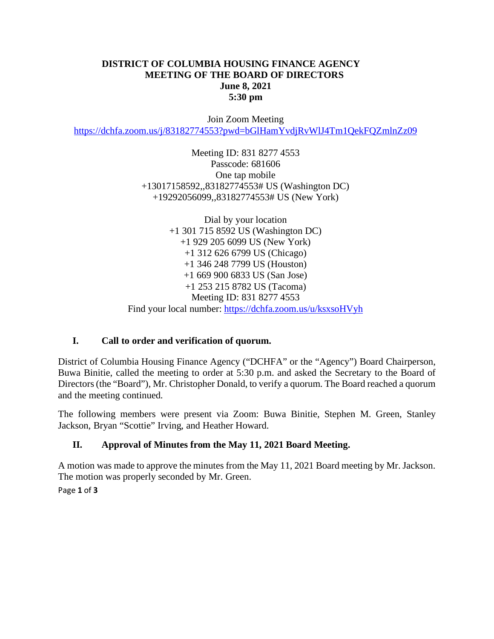#### **DISTRICT OF COLUMBIA HOUSING FINANCE AGENCY MEETING OF THE BOARD OF DIRECTORS June 8, 2021 5:30 pm**

Join Zoom Meeting <https://dchfa.zoom.us/j/83182774553?pwd=bGlHamYvdjRvWlJ4Tm1QekFQZmlnZz09>

> Meeting ID: 831 8277 4553 Passcode: 681606 One tap mobile +13017158592,,83182774553# US (Washington DC) +19292056099,,83182774553# US (New York)

Dial by your location +1 301 715 8592 US (Washington DC) +1 929 205 6099 US (New York) +1 312 626 6799 US (Chicago) +1 346 248 7799 US (Houston) +1 669 900 6833 US (San Jose) +1 253 215 8782 US (Tacoma) Meeting ID: 831 8277 4553 Find your local number: <https://dchfa.zoom.us/u/ksxsoHVyh>

# **I. Call to order and verification of quorum.**

District of Columbia Housing Finance Agency ("DCHFA" or the "Agency") Board Chairperson, Buwa Binitie, called the meeting to order at 5:30 p.m. and asked the Secretary to the Board of Directors (the "Board"), Mr. Christopher Donald, to verify a quorum. The Board reached a quorum and the meeting continued.

The following members were present via Zoom: Buwa Binitie, Stephen M. Green, Stanley Jackson, Bryan "Scottie" Irving, and Heather Howard.

# **II. Approval of Minutes from the May 11, 2021 Board Meeting.**

A motion was made to approve the minutes from the May 11, 2021 Board meeting by Mr. Jackson. The motion was properly seconded by Mr. Green.

Page **1** of **3**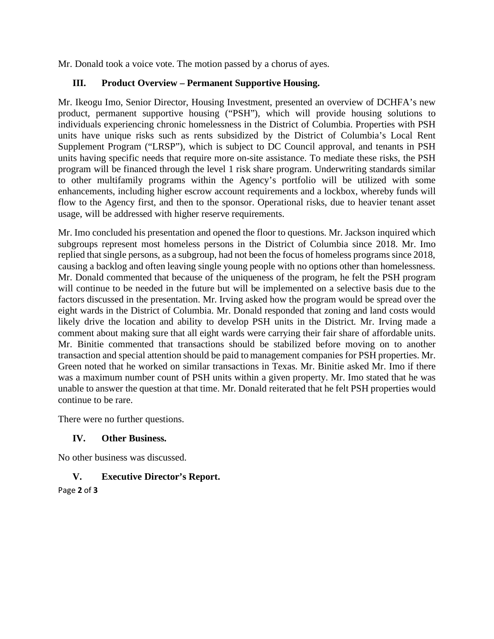Mr. Donald took a voice vote. The motion passed by a chorus of ayes.

### **III. Product Overview – Permanent Supportive Housing.**

Mr. Ikeogu Imo, Senior Director, Housing Investment, presented an overview of DCHFA's new product, permanent supportive housing ("PSH"), which will provide housing solutions to individuals experiencing chronic homelessness in the District of Columbia. Properties with PSH units have unique risks such as rents subsidized by the District of Columbia's Local Rent Supplement Program ("LRSP"), which is subject to DC Council approval, and tenants in PSH units having specific needs that require more on-site assistance. To mediate these risks, the PSH program will be financed through the level 1 risk share program. Underwriting standards similar to other multifamily programs within the Agency's portfolio will be utilized with some enhancements, including higher escrow account requirements and a lockbox, whereby funds will flow to the Agency first, and then to the sponsor. Operational risks, due to heavier tenant asset usage, will be addressed with higher reserve requirements.

Mr. Imo concluded his presentation and opened the floor to questions. Mr. Jackson inquired which subgroups represent most homeless persons in the District of Columbia since 2018. Mr. Imo replied that single persons, as a subgroup, had not been the focus of homeless programs since 2018, causing a backlog and often leaving single young people with no options other than homelessness. Mr. Donald commented that because of the uniqueness of the program, he felt the PSH program will continue to be needed in the future but will be implemented on a selective basis due to the factors discussed in the presentation. Mr. Irving asked how the program would be spread over the eight wards in the District of Columbia. Mr. Donald responded that zoning and land costs would likely drive the location and ability to develop PSH units in the District. Mr. Irving made a comment about making sure that all eight wards were carrying their fair share of affordable units. Mr. Binitie commented that transactions should be stabilized before moving on to another transaction and special attention should be paid to management companies for PSH properties. Mr. Green noted that he worked on similar transactions in Texas. Mr. Binitie asked Mr. Imo if there was a maximum number count of PSH units within a given property. Mr. Imo stated that he was unable to answer the question at that time. Mr. Donald reiterated that he felt PSH properties would continue to be rare.

There were no further questions.

### **IV. Other Business.**

No other business was discussed.

### **V. Executive Director's Report.**

Page **2** of **3**